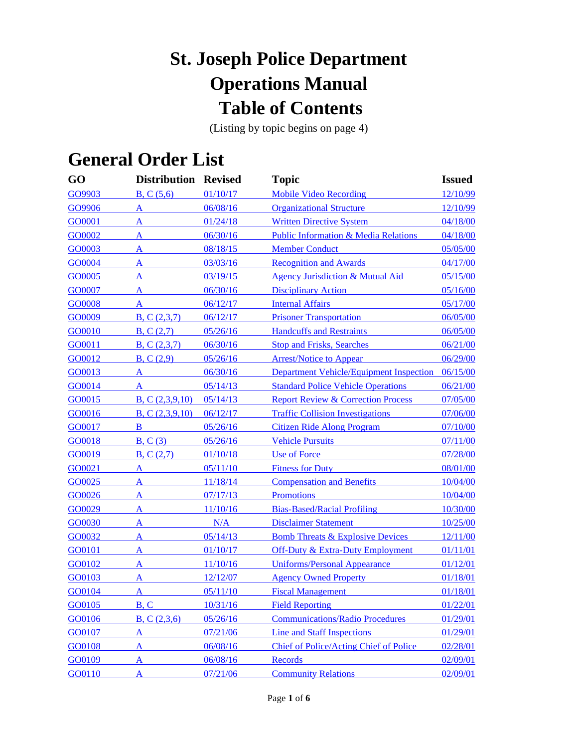# **St. Joseph Police Department Operations Manual Table of Contents**

(Listing by topic begins on page 4)

# **General Order List**

| GO     | <b>Distribution Revised</b> |          | <b>Topic</b>                                    | <b>Issued</b> |
|--------|-----------------------------|----------|-------------------------------------------------|---------------|
| GO9903 | B, C (5,6)                  | 01/10/17 | <b>Mobile Video Recording</b>                   | 12/10/99      |
| GO9906 | A                           | 06/08/16 | <b>Organizational Structure</b>                 | 12/10/99      |
| GO0001 | A                           | 01/24/18 | <b>Written Directive System</b>                 | 04/18/00      |
| GO0002 | A                           | 06/30/16 | <b>Public Information &amp; Media Relations</b> | 04/18/00      |
| GO0003 | A                           | 08/18/15 | <b>Member Conduct</b>                           | 05/05/00      |
| GO0004 | $\overline{A}$              | 03/03/16 | <b>Recognition and Awards</b>                   | 04/17/00      |
| GO0005 | A                           | 03/19/15 | Agency Jurisdiction & Mutual Aid                | 05/15/00      |
| GO0007 | A                           | 06/30/16 | <b>Disciplinary Action</b>                      | 05/16/00      |
| GO0008 | A                           | 06/12/17 | <b>Internal Affairs</b>                         | 05/17/00      |
| GO0009 | B, C(2,3,7)                 | 06/12/17 | <b>Prisoner Transportation</b>                  | 06/05/00      |
| GO0010 | B, C(2,7)                   | 05/26/16 | <b>Handcuffs and Restraints</b>                 | 06/05/00      |
| GO0011 | B, C(2,3,7)                 | 06/30/16 | <b>Stop and Frisks, Searches</b>                | 06/21/00      |
| GO0012 | B, C(2,9)                   | 05/26/16 | <b>Arrest/Notice to Appear</b>                  | 06/29/00      |
| GO0013 | A                           | 06/30/16 | <b>Department Vehicle/Equipment Inspection</b>  | 06/15/00      |
| GO0014 | A                           | 05/14/13 | <b>Standard Police Vehicle Operations</b>       | 06/21/00      |
| GO0015 | B, C(2,3,9,10)              | 05/14/13 | <b>Report Review &amp; Correction Process</b>   | 07/05/00      |
| GO0016 | B, C (2,3,9,10)             | 06/12/17 | <b>Traffic Collision Investigations</b>         | 07/06/00      |
| GO0017 | B                           | 05/26/16 | <b>Citizen Ride Along Program</b>               | 07/10/00      |
| GO0018 | B, C(3)                     | 05/26/16 | <b>Vehicle Pursuits</b>                         | 07/11/00      |
| GO0019 | B, C(2,7)                   | 01/10/18 | <b>Use of Force</b>                             | 07/28/00      |
| GO0021 | A                           | 05/11/10 | <b>Fitness for Duty</b>                         | 08/01/00      |
| GO0025 | A                           | 11/18/14 | <b>Compensation and Benefits</b>                | 10/04/00      |
| GO0026 | A                           | 07/17/13 | <b>Promotions</b>                               | 10/04/00      |
| GO0029 | A                           | 11/10/16 | <b>Bias-Based/Racial Profiling</b>              | 10/30/00      |
| GO0030 | $\mathbf{A}$                | N/A      | <b>Disclaimer Statement</b>                     | 10/25/00      |
| GO0032 | A                           | 05/14/13 | <b>Bomb Threats &amp; Explosive Devices</b>     | 12/11/00      |
| GO0101 | A                           | 01/10/17 | <b>Off-Duty &amp; Extra-Duty Employment</b>     | 01/11/01      |
| GO0102 | A                           | 11/10/16 | <b>Uniforms/Personal Appearance</b>             | 01/12/01      |
| GO0103 | A                           | 12/12/07 | <b>Agency Owned Property</b>                    | 01/18/01      |
| GO0104 | A                           | 05/11/10 | <b>Fiscal Management</b>                        | 01/18/01      |
| GO0105 | B, C                        | 10/31/16 | <b>Field Reporting</b>                          | 01/22/01      |
| GO0106 | B, C (2,3,6)                | 05/26/16 | <b>Communications/Radio Procedures</b>          | 01/29/01      |
| GO0107 | A                           | 07/21/06 | <b>Line and Staff Inspections</b>               | 01/29/01      |
| GO0108 | A                           | 06/08/16 | Chief of Police/Acting Chief of Police          | 02/28/01      |
| GO0109 | $\overline{\mathbf{A}}$     | 06/08/16 | Records                                         | 02/09/01      |
| GO0110 | A                           | 07/21/06 | <b>Community Relations</b>                      | 02/09/01      |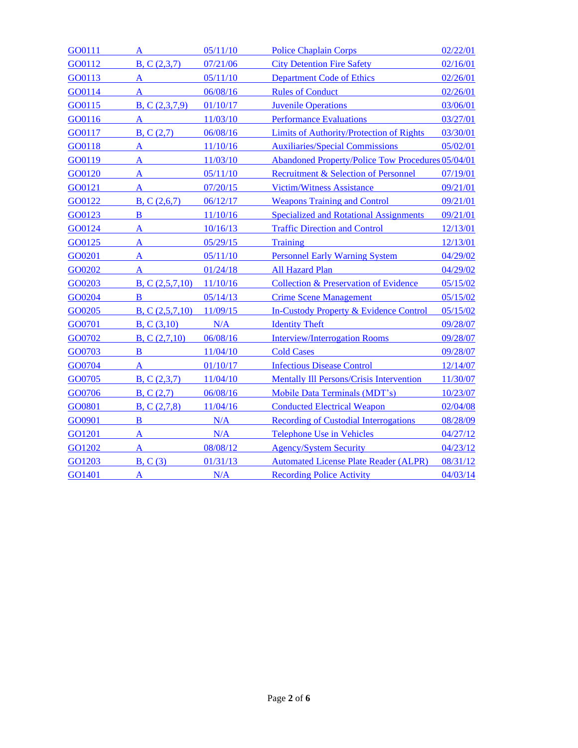| GO0111 | A              | 05/11/10 | <b>Police Chaplain Corps</b>                             | 02/22/01 |
|--------|----------------|----------|----------------------------------------------------------|----------|
| GO0112 | B, C(2,3,7)    | 07/21/06 | <b>City Detention Fire Safety</b>                        | 02/16/01 |
| GO0113 | A              | 05/11/10 | <b>Department Code of Ethics</b>                         | 02/26/01 |
| GO0114 | A              | 06/08/16 | <b>Rules of Conduct</b>                                  | 02/26/01 |
| GO0115 | B, C(2,3,7,9)  | 01/10/17 | <b>Juvenile Operations</b>                               | 03/06/01 |
| GO0116 | A              | 11/03/10 | <b>Performance Evaluations</b>                           | 03/27/01 |
| GO0117 | B, C(2,7)      | 06/08/16 | Limits of Authority/Protection of Rights                 | 03/30/01 |
| GO0118 | A              | 11/10/16 | <b>Auxiliaries/Special Commissions</b>                   | 05/02/01 |
| GO0119 | A              | 11/03/10 | <b>Abandoned Property/Police Tow Procedures 05/04/01</b> |          |
| GO0120 | A              | 05/11/10 | Recruitment & Selection of Personnel                     | 07/19/01 |
| GO0121 | A              | 07/20/15 | <b>Victim/Witness Assistance</b>                         | 09/21/01 |
| GO0122 | B, C(2,6,7)    | 06/12/17 | <b>Weapons Training and Control</b>                      | 09/21/01 |
| GO0123 | B              | 11/10/16 | <b>Specialized and Rotational Assignments</b>            | 09/21/01 |
| GO0124 | A              | 10/16/13 | <b>Traffic Direction and Control</b>                     | 12/13/01 |
| GO0125 | A              | 05/29/15 | <b>Training</b>                                          | 12/13/01 |
| GO0201 | A              | 05/11/10 | <b>Personnel Early Warning System</b>                    | 04/29/02 |
| GO0202 | $\mathbf{A}$   | 01/24/18 | <b>All Hazard Plan</b>                                   | 04/29/02 |
| GO0203 | B, C(2,5,7,10) | 11/10/16 | Collection & Preservation of Evidence                    | 05/15/02 |
| GO0204 | B              | 05/14/13 | <b>Crime Scene Management</b>                            | 05/15/02 |
| GO0205 | B, C(2,5,7,10) | 11/09/15 | In-Custody Property & Evidence Control                   | 05/15/02 |
| GO0701 | B, C (3,10)    | N/A      | <b>Identity Theft</b>                                    | 09/28/07 |
| GO0702 | B, C (2,7,10)  | 06/08/16 | <b>Interview/Interrogation Rooms</b>                     | 09/28/07 |
| GO0703 | B              | 11/04/10 | <b>Cold Cases</b>                                        | 09/28/07 |
| GO0704 | A              | 01/10/17 | <b>Infectious Disease Control</b>                        | 12/14/07 |
| GO0705 | B, C(2,3,7)    | 11/04/10 | <b>Mentally Ill Persons/Crisis Intervention</b>          | 11/30/07 |
| GO0706 | B, C(2,7)      | 06/08/16 | Mobile Data Terminals (MDT's)                            | 10/23/07 |
| GO0801 | B, C(2,7,8)    | 11/04/16 | <b>Conducted Electrical Weapon</b>                       | 02/04/08 |
| GO0901 | B              | N/A      | <b>Recording of Custodial Interrogations</b>             | 08/28/09 |
| GO1201 | A              | N/A      | <b>Telephone Use in Vehicles</b>                         | 04/27/12 |
| GO1202 | A              | 08/08/12 | <b>Agency/System Security</b>                            | 04/23/12 |
| GO1203 | B. C(3)        | 01/31/13 | <b>Automated License Plate Reader (ALPR)</b>             | 08/31/12 |
| GO1401 | A              | N/A      | <b>Recording Police Activity</b>                         | 04/03/14 |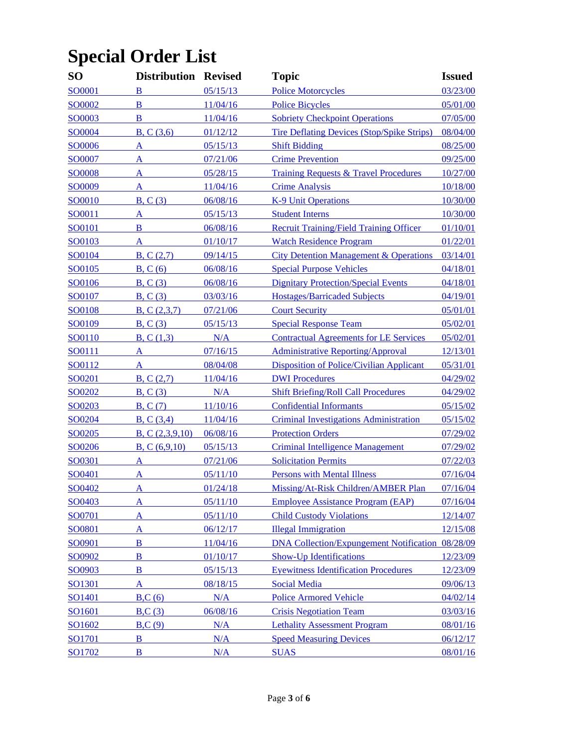# **Special Order List**

| <b>SO</b>     | <b>Distribution Revised</b> |          | <b>Topic</b>                                            | <b>Issued</b> |
|---------------|-----------------------------|----------|---------------------------------------------------------|---------------|
| SO0001        | B                           | 05/15/13 | <b>Police Motorcycles</b>                               | 03/23/00      |
| SO0002        | B                           | 11/04/16 | <b>Police Bicycles</b>                                  | 05/01/00      |
| SO0003        | B                           | 11/04/16 | <b>Sobriety Checkpoint Operations</b>                   | 07/05/00      |
| SO0004        | B, C (3,6)                  | 01/12/12 | <b>Tire Deflating Devices (Stop/Spike Strips)</b>       | 08/04/00      |
| SO0006        | A                           | 05/15/13 | <b>Shift Bidding</b>                                    | 08/25/00      |
| SO0007        | A                           | 07/21/06 | <b>Crime Prevention</b>                                 | 09/25/00      |
| <b>SO0008</b> | A                           | 05/28/15 | <b>Training Requests &amp; Travel Procedures</b>        | 10/27/00      |
| SO0009        | A                           | 11/04/16 | <b>Crime Analysis</b>                                   | 10/18/00      |
| SO0010        | B, C(3)                     | 06/08/16 | <b>K-9 Unit Operations</b>                              | 10/30/00      |
| SO0011        | A                           | 05/15/13 | <b>Student Interns</b>                                  | 10/30/00      |
| SO0101        | B                           | 06/08/16 | <b>Recruit Training/Field Training Officer</b>          | 01/10/01      |
| SO0103        | A                           | 01/10/17 | <b>Watch Residence Program</b>                          | 01/22/01      |
| SO0104        | B, C(2,7)                   | 09/14/15 | <b>City Detention Management &amp; Operations</b>       | 03/14/01      |
| SO0105        | B, C(6)                     | 06/08/16 | <b>Special Purpose Vehicles</b>                         | 04/18/01      |
| SO0106        | B, C(3)                     | 06/08/16 | <b>Dignitary Protection/Special Events</b>              | 04/18/01      |
| SO0107        | B, C(3)                     | 03/03/16 | <b>Hostages/Barricaded Subjects</b>                     | 04/19/01      |
| SO0108        | B, C(2,3,7)                 | 07/21/06 | <b>Court Security</b>                                   | 05/01/01      |
| SO0109        | B, C(3)                     | 05/15/13 | <b>Special Response Team</b>                            | 05/02/01      |
| SO0110        | B, C(1,3)                   | N/A      | <b>Contractual Agreements for LE Services</b>           | 05/02/01      |
| SO0111        | A                           | 07/16/15 | <b>Administrative Reporting/Approval</b>                | 12/13/01      |
| SO0112        | A                           | 08/04/08 | Disposition of Police/Civilian Applicant                | 05/31/01      |
| SO0201        | B, C(2,7)                   | 11/04/16 | <b>DWI</b> Procedures                                   | 04/29/02      |
| SO0202        | B, C(3)                     | N/A      | <b>Shift Briefing/Roll Call Procedures</b>              | 04/29/02      |
| SO0203        | B, C(7)                     | 11/10/16 | <b>Confidential Informants</b>                          | 05/15/02      |
| SO0204        | B, C(3,4)                   | 11/04/16 | <b>Criminal Investigations Administration</b>           | 05/15/02      |
| SO0205        | B, C (2,3,9,10)             | 06/08/16 | <b>Protection Orders</b>                                | 07/29/02      |
| SO0206        | B, C (6,9,10)               | 05/15/13 | <b>Criminal Intelligence Management</b>                 | 07/29/02      |
| SO0301        | A                           | 07/21/06 | <b>Solicitation Permits</b>                             | 07/22/03      |
| SO0401        | A                           | 05/11/10 | <b>Persons with Mental Illness</b>                      | 07/16/04      |
| SO0402        | A                           | 01/24/18 | Missing/At-Risk Children/AMBER Plan                     | 07/16/04      |
| SO0403        | A                           | 05/11/10 | <b>Employee Assistance Program (EAP)</b>                | 07/16/04      |
| SO0701        | A                           | 05/11/10 | <b>Child Custody Violations</b>                         | 12/14/07      |
| SO0801        | A                           | 06/12/17 | <b>Illegal Immigration</b>                              | 12/15/08      |
| SO0901        | $\bf{B}$                    | 11/04/16 | <b>DNA Collection/Expungement Notification 08/28/09</b> |               |
| SO0902        | B                           | 01/10/17 | <b>Show-Up Identifications</b>                          | 12/23/09      |
| SO0903        | B                           | 05/15/13 | <b>Eyewitness Identification Procedures</b>             | 12/23/09      |
| SO1301        | A                           | 08/18/15 | <b>Social Media</b>                                     | 09/06/13      |
| SO1401        | B, C(6)                     | N/A      | <b>Police Armored Vehicle</b>                           | 04/02/14      |
| SO1601        | B, C(3)                     | 06/08/16 | <b>Crisis Negotiation Team</b>                          | 03/03/16      |
| SO1602        | B, C(9)                     | N/A      | <b>Lethality Assessment Program</b>                     | 08/01/16      |
| SO1701        | $\bf{B}$                    | N/A      | <b>Speed Measuring Devices</b>                          | 06/12/17      |
| SO1702        | $\bf{B}$                    | N/A      | <b>SUAS</b>                                             | 08/01/16      |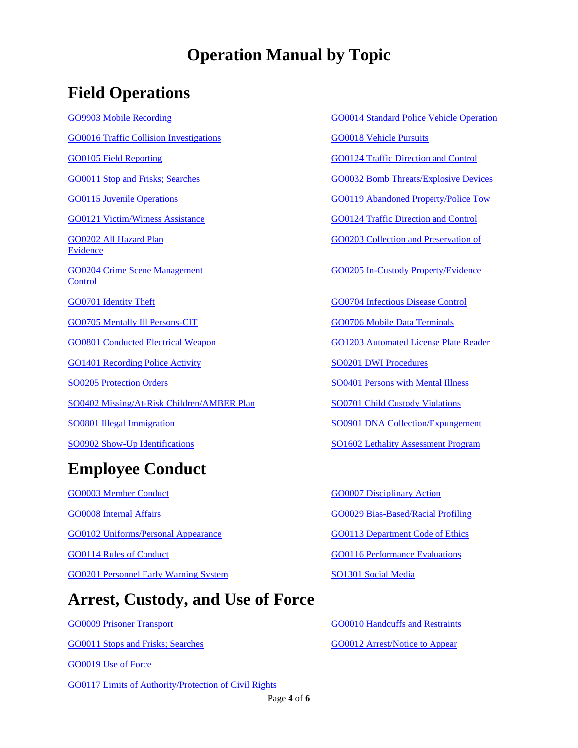#### **Operation Manual by Topic**

#### **Field Operations**

[GO9903 Mobile Recording](file://///Nas_server/police/Police%20Operation%20Manual/GO%209903%20Mobile%20Video%20Recording.doc) [GO0014 Standard Police Vehicle Operation](file://///Nas_server/police/Police%20Operation%20Manual/GO%200014%20Standard%20Police%20Vehicle%20Operations.doc) [GO0016 Traffic Collision Investigations](file://///Nas_server/police/Police%20Operation%20Manual/GO%200016%20Traffic%20Collision%20Investigations%20.doc) [GO0018 Vehicle Pursuits](file://///Nas_server/police/Police%20Operation%20Manual/GO%200018%20Vehicle%20Pursuits.doc) [GO0105 Field Reporting](file://///Nas_server/police/Police%20Operation%20Manual/GO%200105%20%20%20Field%20Reporting.doc) [GO0124 Traffic Direction and Control](file://///Nas_server/police/Police%20Operation%20Manual/GO%200124%20Traffic%20Direction%20and%20Control.doc) [GO0011 Stop and Frisks; Searches](file://///Nas_server/police/Police%20Operation%20Manual/GO%200011%20Stop%20and%20Frisks%20Searches.doc) [GO0032 Bomb Threats/Explosive Devices](file://///Nas_server/police/Police%20Operation%20Manual/GO%200032%20Bomb%20Threats%20and%20Explosive%20Devices.doc) [GO0115 Juvenile Operations](file://///Nas_server/police/Police%20Operation%20Manual/GO%200115%20Juvenile%20Operations%20.doc) [GO0119 Abandoned Property/Police Tow](file://///Nas_server/police/Police%20Operation%20Manual/GO%200119%20Abandoned%20Property%20Police%20Towing%20Procedure.doc) [GO0121 Victim/Witness Assistance](file://///Nas_server/police/Police%20Operation%20Manual/GO%200121%20Victim%20Witness%20Assistance.doc) [GO0124 Traffic Direction and Control](file://///Nas_server/police/Police%20Operation%20Manual/GO%200124%20Traffic%20Direction%20and%20Control.doc) [GO0202 All Hazard Plan](file://///Nas_server/police/Police%20Operation%20Manual/GO%200202%20%20All%20Hazard%20Plan.doc) GO0203 Collection and Preservation of [Evidence](file://///Nas_server/police/Police%20Operation%20Manual/GO%200203%20Collection%20and%20Preservation%20of%20Evidence.doc) [GO0204 Crime Scene Management](file://///Nas_server/police/Police%20Operation%20Manual/GO%200204%20Crime%20Scene%20Management.doc) GO0205 In-Custody Property/Evidence **[Control](file://///Nas_server/police/Police%20Operation%20Manual/GO%200205%20In-Custody%20Property%20and%20Evidence%20Control.doc)** [GO0701 Identity Theft](file://///Nas_server/police/Police%20Operation%20Manual/GO%200701%20Identity%20Theft.doc) [GO0704 Infectious Disease Control](file://///Nas_server/police/Police%20Operation%20Manual/GO%200704%20Infectious%20Disease%20Control.doc) [GO0705 Mentally Ill Persons-CIT](file://///Nas_server/police/Police%20Operation%20Manual/GO%200705%20Mentally%20Ill%20Persons-CIT.doc) [GO0706 Mobile Data Terminals](file://///Nas_server/police/Police%20Operation%20Manual/GO%200706%20Mobile%20Data%20Terminals%20(MDT) [GO0801 Conducted Electrical Weapon](file://///Nas_server/police/Police%20Operation%20Manual/GO%200801%20CEW.doc) GO1203 [Automated License Plate Reader](file://///Nas_server/police/Police%20Operation%20Manual/GO%201203%20Automated%20License%20Plate%20Reader%20(ALPR).doc) [GO1401 Recording Police Activity](file://///Nas_server/police/Police%20Operation%20Manual/GO%201401%20Recording%20Police%20Activity.docx) [SO0201 DWI Procedures](file://///Nas_server/police/Police%20Operation%20Manual/SO%200201%20DWI%20Procedures.doc) [SO0205 Protection Orders](file://///Nas_server/police/Police%20Operation%20Manual/SO%200205%20%20%20Protection%20Orders.doc) SO0205 Protection Orders [SO0401 Persons with Mental Illness](file://///Nas_server/police/Police%20Operation%20Manual/SO%200401%20Persons%20with%20Mental%20Illness.doc) [SO0402 Missing/At-Risk Children/AMBER Plan](file://///Nas_server/police/Police%20Operation%20Manual/SO%200402%20Missing%20At-Risk%20Children%20Amber%20Plan.doc) SO0701 [Child Custody Violations](file://///Nas_server/police/Police%20Operation%20Manual/SO%200701%20Child%20Custody%20Violations.doc) [SO0801 Illegal Immigration](file://///Nas_server/police/Police%20Operation%20Manual/SO%200801%20Illegal%20Immigration.doc) [SO0901 DNA Collection/Expungement](file://///Nas_server/police/Police%20Operation%20Manual/SO%200901%20DNA%20Collection%20Expungement%20Notification.doc) [SO0902 Show-Up Identifications](file://///Nas_server/police/Police%20Operation%20Manual/SO%200902%20Show-up%20Identifications.doc) SO1602 Lethality Assessment Program **Employee Conduct**

[GO0003 Member Conduct](file://///Nas_server/police/Police%20Operation%20Manual/GO%200003%20Member%20Conduct.doc) [GO0007 Disciplinary Action](file://///Nas_server/police/Police%20Operation%20Manual/GO%200007%20Disciplinary%20Action.doc) [GO0008 Internal Affairs](file://///Nas_server/police/Police%20Operation%20Manual/GO%200008%20Internal%20Affairs.doc) [GO0029 Bias-Based/Racial Profiling](file://///Nas_server/police/Police%20Operation%20Manual/GO%200029%20Bias-Based%20Racial%20Profiling.doc) [GO0102 Uniforms/Personal Appearance](file://///Nas_server/police/Police%20Operation%20Manual/GO%200102%20Uniforms%20Personal%20Appearance.doc) [GO0113 Department Code of Ethics](file://///Nas_server/police/Police%20Operation%20Manual/GO%200113%20Department%20Code%20of%20Ethics.doc) [GO0114 Rules of Conduct](file://///Nas_server/police/Police%20Operation%20Manual/GO%200114%20Rules%20of%20Conduct.doc) [GO0116 Performance Evaluations](file://///Nas_server/police/Police%20Operation%20Manual/GO%200116%20Performance%20Evaluations.doc) [GO0201 Personnel Early Warning System](file://///Nas_server/police/Police%20Operation%20Manual/GO%200201%20Personnel%20Early%20Warning%20System.doc) [SO1301 Social Media](file://///Nas_server/police/Police%20Operation%20Manual/SO1301%20Social%20Media.doc)

#### **Arrest, Custody, and Use of Force**

[GO0019 Use of Force](file://///Nas_server/police/Police%20Operation%20Manual/GO%200019%20%20Use%20of%20Force.doc) [GO0117 Limits of Authority/Protection of Civil Rights](file://///Nas_server/police/Police%20Operation%20Manual/GO%200117%20Limits%20of%20Authority.doc)

[GO0009 Prisoner Transport](file://///Nas_server/police/Police%20Operation%20Manual/GO%200009%20Prisoner%20Transport.doc) [GO0010 Handcuffs and Restraints](file://///Nas_server/police/Police%20Operation%20Manual/GO%200010%20Handcuffs%20and%20Restraints.doc) [GO0011 Stops and Frisks; Searches](file://///Nas_server/police/Police%20Operation%20Manual/GO%200011%20Stop%20and%20Frisks%20Searches.doc) [GO0012 Arrest/Notice to Appear](file://///Nas_server/police/Police%20Operation%20Manual/GO%200012%20Arrest%20Notice%20to%20Appear.doc)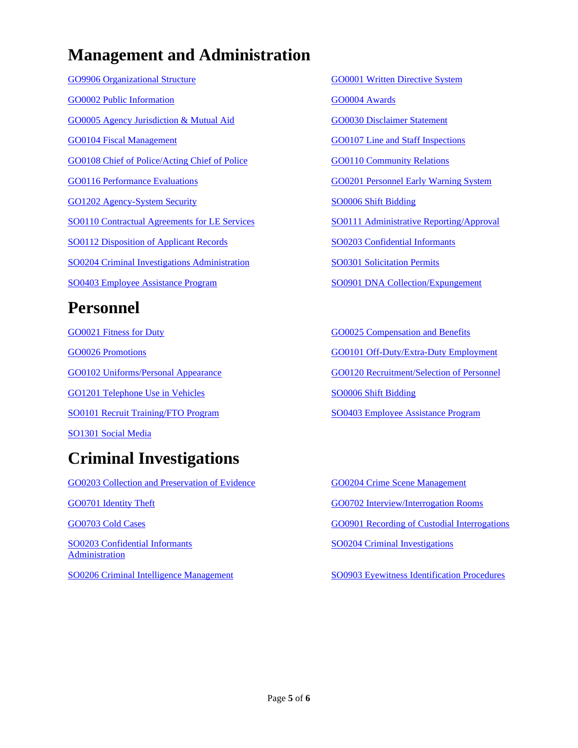### **Management and Administration**

[GO9906 Organizational Structure](file://///Nas_server/police/Police%20Operation%20Manual/GO%209906%20Organizational%20Structure.doc) [GO0001 Written Directive System](file://///Nas_server/police/Police%20Operation%20Manual/GO%200001%20Written%20Directive%20System.doc) [GO0002 Public Information](file://///Nas_server/police/Police%20Operation%20Manual/GO%200002%20Public%20Information.doc) [GO0004 Awards](file://///Nas_server/police/Police%20Operation%20Manual/GO%200004%20Awards.doc) [GO0005 Agency Jurisdiction & Mutual Aid](file://///Nas_server/police/Police%20Operation%20Manual/GO%200005%20Agency%20Jurisdiction%20&%20Mutual%20Aid.doc) [GO0030 Disclaimer Statement](file://///Nas_server/police/Police%20Operation%20Manual/GO%200030%20Disclaimer%20Statement.doc) [GO0104 Fiscal Management](file://///Nas_server/police/Police%20Operation%20Manual/GO%200104%20Fiscal%20Management.doc) [GO0107 Line and Staff Inspections](file://///Nas_server/police/Police%20Operation%20Manual/GO%200107%20%20Line%20and%20Staff%20Inspections.doc) [GO0108 Chief of Police/Acting Chief of Police](file://///Nas_server/police/Police%20Operation%20Manual/GO%200108%20%20Chief%20of%20Police%20Acting%20Chief%20of%20Police.doc) [GO0110 Community Relations](file://///Nas_server/police/Police%20Operation%20Manual/GO%200110%20Community%20Relations.doc) [GO0116 Performance Evaluations](file://///Nas_server/police/Police%20Operation%20Manual/GO%200116%20Performance%20Evaluations.doc) [GO0201 Personnel Early Warning System](file://///Nas_server/police/Police%20Operation%20Manual/GO%200201%20Personnel%20Early%20Warning%20System.doc) [GO1202 Agency-System Security](file://///Nas_server/police/Police%20Operation%20Manual/GO%201202%20Agency-System%20Security.doc) [SO0006 Shift Bidding](file://///Nas_server/police/Police%20Operation%20Manual/SO%200006%20%20%20Shift%20Bidding.doc) [SO0110 Contractual Agreements for LE Services](file://///Nas_server/police/Police%20Operation%20Manual/SO%200110%20Contractual%20Agreements%20for%20LE%20Services.doc) [SO0111 Administrative Reporting/Approval](file://///Nas_server/police/Police%20Operation%20Manual/SO%200111%20Administrative%20Reporting%20Approval.doc) [SO0112 Disposition of Applicant Records](file://///Nas_server/police/Police%20Operation%20Manual/SO%200112%20Disposition%20of%20Police-Civilian%20Applicant%20Records.doc) [SO0203 Confidential Informants](file://///Nas_server/police/Police%20Operation%20Manual/SO%200203%20Confidential%20Informants.doc) [SO0204 Criminal Investigations Administration](file://///Nas_server/police/Police%20Operation%20Manual/SO%200204%20Ciminal%20Investigations%20Administration.doc) [SO0301 Solicitation Permits](file://///Nas_server/police/Police%20Operation%20Manual/SO%200301%20Solicitation%20Permits.doc) [SO0403 Employee Assistance Program](file://///Nas_server/police/Police%20Operation%20Manual/SO%200403%20Employee%20Assistance%20Program.doc) [SO0901 DNA Collection/Expungement](file://///Nas_server/police/Police%20Operation%20Manual/SO%200901%20DNA%20Collection%20Expungement%20Notification.doc)

### **Personnel**

[GO0021 Fitness for Duty](file://///Nas_server/police/Police%20Operation%20Manual/GO%200021%20Fitness%20for%20Duty.doc) [GO0025 Compensation and Benefits](file://///Nas_server/police/Police%20Operation%20Manual/GO%200025%20Compensation%20and%20Benefits.doc) [GO1201 Telephone Use in Vehicles](file://///Nas_server/police/Police%20Operation%20Manual/GO%201201%20Telephone%20Use%20in%20Vehicles.doc) [SO0006 Shift Bidding](file://///Nas_server/police/Police%20Operation%20Manual/SO%200006%20%20%20Shift%20Bidding.doc) [SO0101 Recruit Training/FTO Program](file://///Nas_server/police/Police%20Operation%20Manual/SO%200101%20Recruit%20Training%20Field%20Training%20Officer%20Program.doc) [SO0403 Employee Assistance Program](file://///Nas_server/police/Police%20Operation%20Manual/SO%200403%20Employee%20Assistance%20Program.doc) [SO1301 Social Media](file://///Nas_server/police/Police%20Operation%20Manual/SO1301%20Social%20Media.doc)

# **Criminal Investigations**

[GO0203 Collection and Preservation of Evidence](file://///Nas_server/police/Police%20Operation%20Manual/GO%200203%20Collection%20and%20Preservation%20of%20Evidence.doc) [GO0204 Crime Scene Management](file://///Nas_server/police/Police%20Operation%20Manual/GO%200204%20Crime%20Scene%20Management.doc) [GO0701 Identity Theft](file://///Nas_server/police/Police%20Operation%20Manual/GO%200701%20Identity%20Theft.doc) [GO0702 Interview/Interrogation Rooms](file://///Nas_server/police/Police%20Operation%20Manual/GO%200702%20Interview%20Interrogation%20Rooms.doc) [GO0703 Cold Cases](file://///Nas_server/police/Police%20Operation%20Manual/GO%200703%20Cold%20Cases.doc) [GO0901 Recording of Custodial Interrogations](file://///Nas_server/police/Police%20Operation%20Manual/GO%200901%20Recording%20of%20Custodial%20Interrogations.doc) [SO0203 Confidential Informants](file://///Nas_server/police/Police%20Operation%20Manual/SO%200203%20Confidential%20Informants.doc) [SO0204 Criminal Investigations](file://///Nas_server/police/Police%20Operation%20Manual/SO%200204%20Ciminal%20Investigations%20Administration.doc)  **[Administration](file://///Nas_server/police/Police%20Operation%20Manual/SO%200204%20Ciminal%20Investigations%20Administration.doc)** [SO0206 Criminal Intelligence Management](file://///Nas_server/police/Police%20Operation%20Manual/SO%200206%20Criminal%20Intelligence.doc) [SO0903 Eyewitness Identification Procedures](file://///Nas_server/police/Police%20Operation%20Manual/SO%200903%20Eyewitness%20Identification%20Procedures.doc)

[GO0026 Promotions](file://///Nas_server/police/Police%20Operation%20Manual/GO%200026%20Promotions.doc) [GO0101 Off-Duty/Extra-Duty Employment](file://///Nas_server/police/Police%20Operation%20Manual/GO%200101%20Off%20Duty-Extra%20Duty%20Employment.doc) [GO0102 Uniforms/Personal Appearance](file://///Nas_server/police/Police%20Operation%20Manual/GO%200102%20Uniforms%20Personal%20Appearance.doc) [GO0120 Recruitment/Selection of Personnel](file://///Nas_server/police/Police%20Operation%20Manual/GO%200120%20Recruitment%20%20and%20Selection%20of%20Personnel.doc)